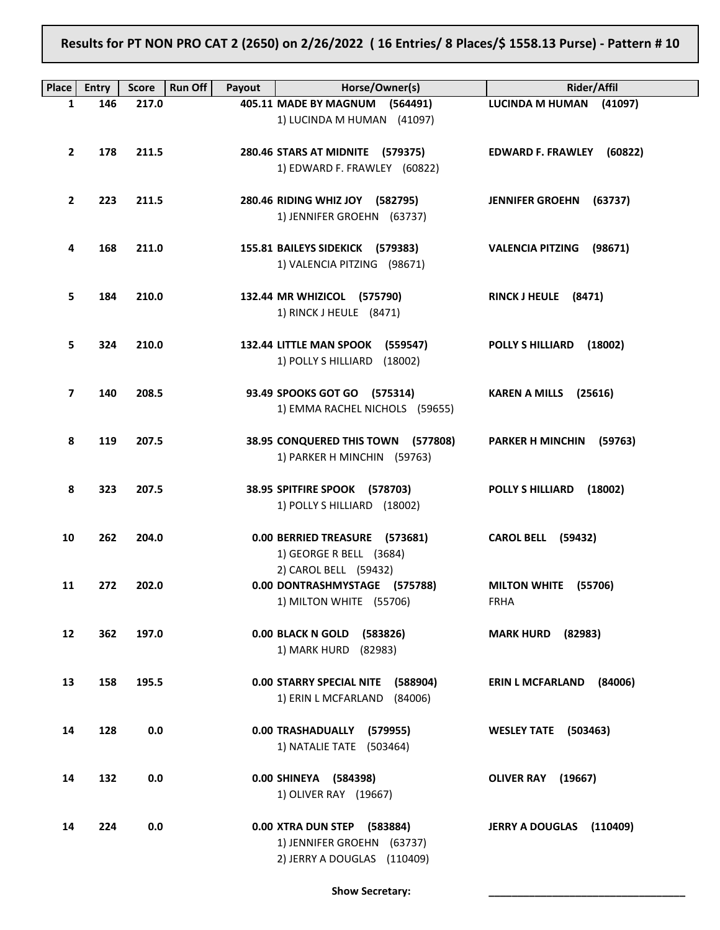Results for PT NON PRO CAT 2 (2650) on 2/26/2022 ( 16 Entries/ 8 Places/\$ 1558.13 Purse) - Pattern # 10

| Place          | <b>Entry</b> | <b>Score</b> | <b>Run Off</b><br>Payout | Horse/Owner(s)                                                   | <b>Rider/Affil</b>                 |
|----------------|--------------|--------------|--------------------------|------------------------------------------------------------------|------------------------------------|
| 1              | 146          | 217.0        |                          | 405.11 MADE BY MAGNUM (564491)                                   | LUCINDA M HUMAN (41097)            |
|                |              |              |                          | 1) LUCINDA M HUMAN (41097)                                       |                                    |
|                |              |              |                          |                                                                  |                                    |
| $\mathbf{2}$   | 178          | 211.5        |                          | 280.46 STARS AT MIDNITE (579375)<br>1) EDWARD F. FRAWLEY (60822) | EDWARD F. FRAWLEY (60822)          |
|                |              |              |                          |                                                                  |                                    |
| $\overline{2}$ | 223          | 211.5        |                          | 280.46 RIDING WHIZ JOY (582795)                                  | <b>JENNIFER GROEHN (63737)</b>     |
|                |              |              |                          | 1) JENNIFER GROEHN (63737)                                       |                                    |
|                |              |              |                          |                                                                  |                                    |
| 4              | 168          | 211.0        |                          | 155.81 BAILEYS SIDEKICK (579383)<br>1) VALENCIA PITZING (98671)  | VALENCIA PITZING (98671)           |
|                |              |              |                          |                                                                  |                                    |
| 5              | 184          | 210.0        |                          | 132.44 MR WHIZICOL (575790)                                      | RINCK J HEULE (8471)               |
|                |              |              |                          | 1) RINCK J HEULE (8471)                                          |                                    |
|                |              |              |                          |                                                                  |                                    |
| 5              | 324          | 210.0        |                          | 132.44 LITTLE MAN SPOOK (559547)<br>1) POLLY S HILLIARD (18002)  | POLLY S HILLIARD (18002)           |
|                |              |              |                          |                                                                  |                                    |
| 7              | 140          | 208.5        |                          | 93.49 SPOOKS GOT GO (575314)                                     | KAREN A MILLS (25616)              |
|                |              |              |                          | 1) EMMA RACHEL NICHOLS (59655)                                   |                                    |
|                |              |              |                          |                                                                  |                                    |
| 8              | 119          | 207.5        |                          | 38.95 CONQUERED THIS TOWN (577808)                               | PARKER H MINCHIN (59763)           |
|                |              |              |                          | 1) PARKER H MINCHIN (59763)                                      |                                    |
| 8              | 323          | 207.5        |                          | 38.95 SPITFIRE SPOOK (578703)                                    | POLLY S HILLIARD (18002)           |
|                |              |              |                          | 1) POLLY S HILLIARD (18002)                                      |                                    |
|                |              |              |                          |                                                                  |                                    |
| 10             | 262          | 204.0        |                          | 0.00 BERRIED TREASURE (573681)<br>1) GEORGE R BELL (3684)        | <b>CAROL BELL (59432)</b>          |
|                |              |              |                          | 2) CAROL BELL (59432)                                            |                                    |
| 11             | 272          | 202.0        |                          | 0.00 DONTRASHMYSTAGE (575788)                                    | MILTON WHITE (55706)               |
|                |              |              |                          | 1) MILTON WHITE (55706)                                          | <b>FRHA</b>                        |
|                |              |              |                          |                                                                  |                                    |
| 12             | 362          | 197.0        |                          | 0.00 BLACK N GOLD (583826)<br>1) MARK HURD (82983)               | <b>MARK HURD</b><br>(82983)        |
|                |              |              |                          |                                                                  |                                    |
| 13             | 158          | 195.5        |                          | 0.00 STARRY SPECIAL NITE (588904)                                | <b>ERIN L MCFARLAND</b><br>(84006) |
|                |              |              |                          | 1) ERIN L MCFARLAND (84006)                                      |                                    |
|                |              |              |                          |                                                                  |                                    |
| 14             | 128          | 0.0          |                          | 0.00 TRASHADUALLY (579955)<br>1) NATALIE TATE (503464)           | <b>WESLEY TATE</b> (503463)        |
|                |              |              |                          |                                                                  |                                    |
| 14             | 132          | 0.0          |                          | 0.00 SHINEYA (584398)                                            | OLIVER RAY (19667)                 |
|                |              |              |                          | 1) OLIVER RAY (19667)                                            |                                    |
|                |              |              |                          |                                                                  |                                    |
| 14             | 224          | 0.0          |                          | 0.00 XTRA DUN STEP (583884)<br>1) JENNIFER GROEHN (63737)        | <b>JERRY A DOUGLAS</b><br>(110409) |
|                |              |              |                          | 2) JERRY A DOUGLAS (110409)                                      |                                    |
|                |              |              |                          |                                                                  |                                    |

Show Secretary: